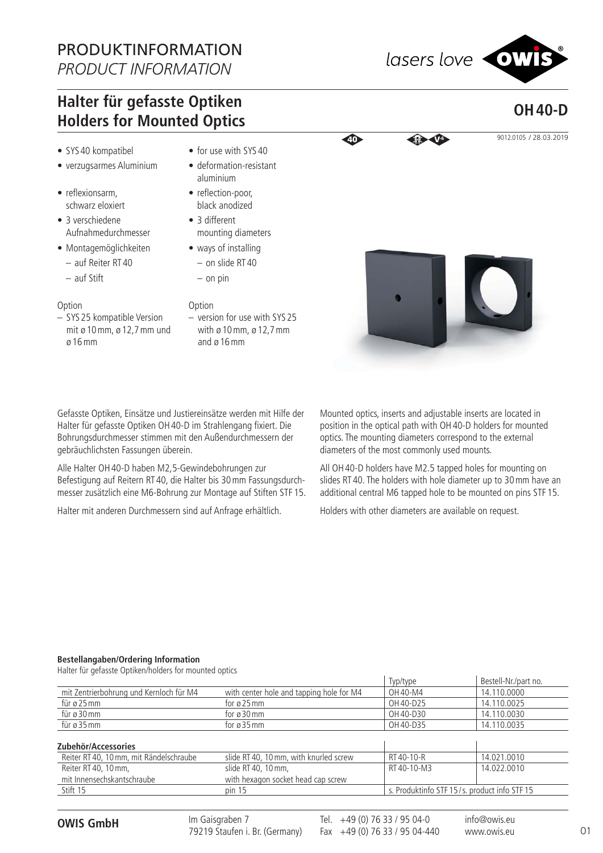## PRODUKTINFORMATION *PRODUCT INFORMATION*

**OH 40-D**

## **Halter für gefasste Optiken Holders for Mounted Optics**

- SYS 40 kompatibel
- verzugsarmes Aluminium
- reflexionsarm, schwarz eloxiert
- 3 verschiedene Aufnahmedurchmesser
- Montagemöglichkeiten
- auf Reiter RT 40
- auf Stift
- Option
- SYS 25 kompatible Version mit ø 10 mm, ø 12,7 mm und ø 16 mm
- for use with SYS 40
- deformation-resistant aluminium
- reflection-poor, black anodized
- 3 different mounting diameters
- ways of installing – on slide RT 40
	- on pin
- Option
- version for use with SYS 25 with ø 10 mm, ø 12,7 mm and ø 16 mm

Gefasste Optiken, Einsätze und Justiereinsätze werden mit Hilfe der Halter für gefasste Optiken OH 40-D im Strahlengang fixiert. Die Bohrungsdurchmesser stimmen mit den Außendurchmessern der gebräuchlichsten Fassungen überein.

Alle Halter OH 40-D haben M2,5-Gewindebohrungen zur Befestigung auf Reitern RT 40, die Halter bis 30 mm Fassungsdurchmesser zusätzlich eine M6-Bohrung zur Montage auf Stiften STF 15.

Halter mit anderen Durchmessern sind auf Anfrage erhältlich.

Mounted optics, inserts and adjustable inserts are located in position in the optical path with OH 40-D holders for mounted optics. The mounting diameters correspond to the external diameters of the most commonly used mounts.

All OH 40-D holders have M2.5 tapped holes for mounting on slides RT 40. The holders with hole diameter up to 30 mm have an additional central M6 tapped hole to be mounted on pins STF 15.

Holders with other diameters are available on request.

## **Bestellangaben/Ordering Information**

Halter für gefasste Optiken/holders for mounted optics

|                                                                |                                          | Typ/type                                     | Bestell-Nr./part no. |
|----------------------------------------------------------------|------------------------------------------|----------------------------------------------|----------------------|
| mit Zentrierbohrung und Kernloch für M4                        | with center hole and tapping hole for M4 | OH 40-M4                                     | 14.110.0000          |
| für ø 25 mm                                                    | for $\alpha$ 25 mm                       | OH 40-D25                                    | 14.110.0025          |
| für ø 30 mm                                                    | for $\varnothing$ 30 mm                  | OH 40-D30                                    | 14.110.0030          |
| für ø 35 mm                                                    | for $\varnothing$ 35 mm                  | OH 40-D35                                    | 14.110.0035          |
| Zubehör/Accessories<br>Reiter RT 40, 10 mm, mit Rändelschraube | slide RT 40, 10 mm, with knurled screw   | RT40-10-R                                    | 14.021.0010          |
| Reiter RT 40, 10 mm.                                           | slide RT 40, 10 mm.                      | RT40-10-M3                                   | 14.022.0010          |
| mit Innensechskantschraube                                     | with hexagon socket head cap screw       |                                              |                      |
| Stift 15                                                       | pin 15                                   | s. Produktinfo STF 15/s. product info STF 15 |                      |
|                                                                |                                          |                                              |                      |

**OWIS GmbH** Im Gaisgraben 7 Tel. +49 (0) 76 33 / 95 04-0 Im Gaisgraben 7 79219 Staufen i. Br. (Germany)

Fax +49 (0) 76 33 / 95 04-440

info@owis.eu www.owis.eu



**40** 9012.0105 / 28.03.2019